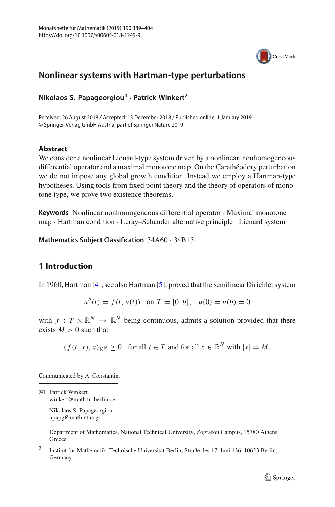

# **Nonlinear systems with Hartman-type perturbations**

**Nikolaos S. Papageorgiou<sup>1</sup> · Patrick Winkert<sup>2</sup>**

Received: 26 August 2018 / Accepted: 13 December 2018 / Published online: 1 January 2019 © Springer-Verlag GmbH Austria, part of Springer Nature 2019

### **Abstract**

We consider a nonlinear Lienard-type system driven by a nonlinear, nonhomogeneous differential operator and a maximal monotone map. On the Carathéodory perturbation we do not impose any global growth condition. Instead we employ a Hartman-type hypotheses. Using tools from fixed point theory and the theory of operators of monotone type, we prove two existence theorems.

**Keywords** Nonlinear nonhomogeneous differential operator · Maximal monotone map · Hartman condition · Leray–Schauder alternative principle · Lienard system

**Mathematics Subject Classification** 34A60 · 34B15

## **1 Introduction**

In 1960, Hartman [\[4](#page-15-0)], see also Hartman [\[5\]](#page-15-1), proved that the semilinear Dirichlet system

$$
u''(t) = f(t, u(t))
$$
 on  $T = [0, b], u(0) = u(b) = 0$ 

with  $f: T \times \mathbb{R}^N \to \mathbb{R}^N$  being continuous, admits a solution provided that there exists  $M > 0$  such that

 $(f(t, x), x)_{\mathbb{R}^N} \ge 0$  for all  $t \in T$  and for all  $x \in \mathbb{R}^N$  with  $|x| = M$ .

Communicated by A. Constantin.

 $\boxtimes$  Patrick Winkert winkert@math.tu-berlin.de Nikolaos S. Papageorgiou

npapg@math.ntua.gr

- <sup>1</sup> Department of Mathematics, National Technical University, Zografou Campus, 15780 Athens, **Greece**
- <sup>2</sup> Institut für Mathematik, Technische Universität Berlin, Straße des 17. Juni 136, 10623 Berlin, Germany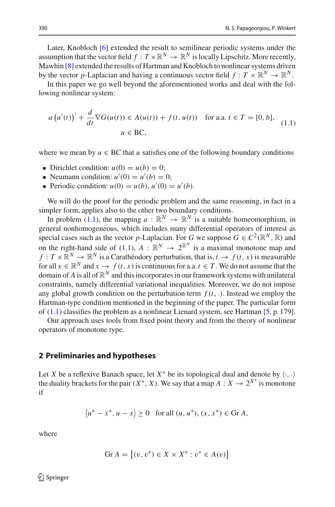Later, Knobloch [\[6\]](#page-15-2) extended the result to semilinear periodic systems under the assumption that the vector field  $f: T \times \mathbb{R}^N \to \mathbb{R}^N$  is locally Lipschitz. More recently, Mawhin [\[8\]](#page-15-3) extended the results of Hartman and Knobloch to nonlinear systems driven by the vector *p*-Laplacian and having a continuous vector field  $f: T \times \mathbb{R}^N \to \mathbb{R}^N$ .

In this paper we go well beyond the aforementioned works and deal with the following nonlinear system:

<span id="page-1-0"></span>
$$
a(u'(t))' + \frac{d}{dt}\nabla G(u(t)) \in A(u(t)) + f(t, u(t)) \quad \text{for a.a. } t \in T = [0, b],
$$
  

$$
u \in BC,
$$
 (1.1)

where we mean by  $u \in BC$  that  $u$  satisfies one of the following boundary conditions

- Dirichlet condition:  $u(0) = u(b) = 0$ ;
- Neumann condition:  $u'(0) = u'(b) = 0$ ;
- Periodic condition:  $u(0) = u(b)$ ,  $u'(0) = u'(b)$ .

We will do the proof for the periodic problem and the same reasoning, in fact in a simpler form, applies also to the other two boundary conditions.

In problem [\(1.1\)](#page-1-0), the mapping  $a : \mathbb{R}^N \to \mathbb{R}^N$  is a suitable homeomorphism, in general nonhomogeneous, which includes many differential operators of interest as special cases such as the vector *p*-Laplacian. For *G* we suppose  $G \in C^2(\mathbb{R}^N, \mathbb{R})$  and on the right-hand side of [\(1.1\)](#page-1-0),  $A : \mathbb{R}^N \to 2^{\mathbb{R}^N}$  is a maximal monotone map and  $f: T \times \mathbb{R}^N \to \mathbb{R}^N$  is a Carathéodory perturbation, that is,  $t \to f(t, x)$  is measurable for all  $x \in \mathbb{R}^N$  and  $x \to f(t, x)$  is continuous for a.a.  $t \in T$ . We do not assume that the domain of  $A$  is all of  $\mathbb{R}^N$  and this incorporates in our framework systems with unilateral constraints, namely differential variational inequalities. Moreover, we do not impose any global growth condition on the perturbation term  $f(t, \cdot)$ . Instead we employ the Hartman-type condition mentioned in the beginning of the paper. The particular form of  $(1.1)$  classifies the problem as a nonlinear Lienard system, see Hartman [\[5,](#page-15-1) p. 179].

Our approach uses tools from fixed point theory and from the theory of nonlinear operators of monotone type.

#### **2 Preliminaries and hypotheses**

Let *X* be a reflexive Banach space, let  $X^*$  be its topological dual and denote by  $\langle \cdot, \cdot \rangle$ the duality brackets for the pair  $(X^*, X)$ . We say that a map  $A: X \to 2^{X^*}$  is monotone if

$$
\langle u^* - x^*, u - x \rangle \ge 0
$$
 for all  $(u, u^*), (x, x^*) \in$  Gr A,

where

$$
Gr A = \{(v, v^*) \in X \times X^* : v^* \in A(v)\}
$$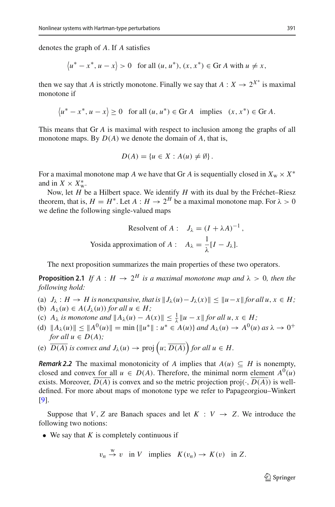denotes the graph of *A*. If *A* satisfies

$$
\langle u^* - x^*, u - x \rangle > 0 \quad \text{for all } (u, u^*), (x, x^*) \in \text{Gr } A \text{ with } u \neq x,
$$

then we say that *A* is strictly monotone. Finally we say that  $A: X \to 2^{X^*}$  is maximal monotone if

$$
\langle u^* - x^*, u - x \rangle \ge 0 \quad \text{for all } (u, u^*) \in \text{Gr } A \quad \text{implies} \quad (x, x^*) \in \text{Gr } A.
$$

This means that Gr *A* is maximal with respect to inclusion among the graphs of all monotone maps. By *D*(*A*) we denote the domain of *A*, that is,

$$
D(A) = \{u \in X : A(u) \neq \emptyset\}.
$$

For a maximal monotone map *A* we have that Gr *A* is sequentially closed in  $X_w \times X^*$ and in  $X \times X^*_{\text{w}}$ .

Now, let *H* be a Hilbert space. We identify *H* with its dual by the Fréchet–Riesz theorem, that is,  $H = H^*$ . Let  $A : H \to 2^H$  be a maximal monotone map. For  $\lambda > 0$ we define the following single-valued maps

Resolvent of 
$$
A: J_{\lambda} = (I + \lambda A)^{-1}
$$
,  
Yosida approximation of  $A: A_{\lambda} = \frac{1}{\lambda} [I - J_{\lambda}].$ 

<span id="page-2-0"></span>The next proposition summarizes the main properties of these two operators.

**Proposition 2.1** *If*  $A : H \rightarrow 2^H$  *is a maximal monotone map and*  $\lambda > 0$ *, then the following hold:*

(a)  $J_{\lambda}: H \to H$  is nonexpansive, that is  $||J_{\lambda}(u) - J_{\lambda}(x)|| \le ||u - x||$  for all  $u, x \in H$ ; (b)  $A_{\lambda}(u) \in A(J_{\lambda}(u))$  *for all*  $u \in H$ ;

- (c)  $A_{\lambda}$  *is monotone and*  $||A_{\lambda}(u) A(x)|| \leq \frac{1}{\lambda} ||u x||$  *for all*  $u, x \in H$ ;
- (d)  $||A_{\lambda}(u)|| \le ||A^{0}(u)|| = \min \{||u^*|| : u^* \in A(u)\}$  and  $A_{\lambda}(u) \to A^{0}(u)$  as  $\lambda \to 0^+$ *for all*  $u \in D(A)$ *;*
- (e)  $\overline{D(A)}$  *is convex and*  $J_{\lambda}(u) \rightarrow \text{proj}\left(u; \overline{D(A)}\right)$  *for all*  $u \in H$ .

*Remark 2.2* The maximal monotonicity of *A* implies that  $A(u) \subseteq H$  is nonempty, closed and convex for all  $u \in D(A)$ . Therefore, the minimal norm element  $A^0(u)$ exists. Moreover,  $D(A)$  is convex and so the metric projection proj $(\cdot, D(A))$  is welldefined. For more about maps of monotone type we refer to Papageorgiou–Winkert [\[9](#page-15-4)].

Suppose that *V*, *Z* are Banach spaces and let  $K : V \rightarrow Z$ . We introduce the following two notions:

• We say that *K* is completely continuous if

$$
v_n \stackrel{w}{\to} v
$$
 in V implies  $K(v_n) \to K(v)$  in Z.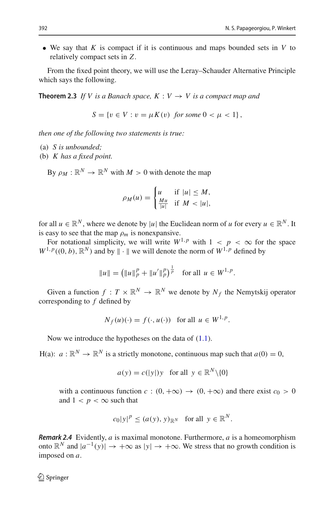• We say that *K* is compact if it is continuous and maps bounded sets in *V* to relatively compact sets in *Z*.

<span id="page-3-0"></span>From the fixed point theory, we will use the Leray–Schauder Alternative Principle which says the following.

**Theorem 2.3** *If V is a Banach space, K : V*  $\rightarrow$  *V is a compact map and* 

$$
S = \{ v \in V : v = \mu K(v) \text{ for some } 0 < \mu < 1 \},
$$

*then one of the following two statements is true:*

- (a) *S is unbounded;*
- (b) *K has a fixed point.*

By  $\rho_M : \mathbb{R}^N \to \mathbb{R}^N$  with  $M > 0$  with denote the map

$$
\rho_M(u) = \begin{cases} u & \text{if } |u| \le M, \\ \frac{Mu}{|u|} & \text{if } M < |u|, \end{cases}
$$

for all  $u \in \mathbb{R}^N$ , where we denote by |*u*| the Euclidean norm of *u* for every  $u \in \mathbb{R}^N$ . It is easy to see that the map  $\rho_m$  is nonexpansive.

For notational simplicity, we will write  $W^{1,p}$  with  $1 < p < \infty$  for the space  $W^{1,p}((0, b), \mathbb{R}^N)$  and by  $\|\cdot\|$  we will denote the norm of  $W^{1,p}$  defined by

$$
||u|| = (||u||_p^p + ||u'||_p^p)^{\frac{1}{p}} \text{ for all } u \in W^{1,p}.
$$

Given a function  $f: T \times \mathbb{R}^N \to \mathbb{R}^N$  we denote by  $N_f$  the Nemytskij operator corresponding to *f* defined by

$$
N_f(u)(\cdot) = f(\cdot, u(\cdot)) \quad \text{for all } u \in W^{1, p}.
$$

Now we introduce the hypotheses on the data of  $(1.1)$ .

H(a):  $a : \mathbb{R}^N \to \mathbb{R}^N$  is a strictly monotone, continuous map such that  $a(0) = 0$ ,

$$
a(y) = c(|y|)y
$$
 for all  $y \in \mathbb{R}^N \setminus \{0\}$ 

with a continuous function  $c : (0, +\infty) \to (0, +\infty)$  and there exist  $c_0 > 0$ and  $1 < p < \infty$  such that

$$
c_0|y|^p \le (a(y), y)_{\mathbb{R}^N}
$$
 for all  $y \in \mathbb{R}^N$ .

*Remark 2.4* Evidently, *a* is maximal monotone. Furthermore, *a* is a homeomorphism onto  $\mathbb{R}^N$  and  $|a^{-1}(y)| \to +\infty$  as  $|y| \to +\infty$ . We stress that no growth condition is imposed on *a*.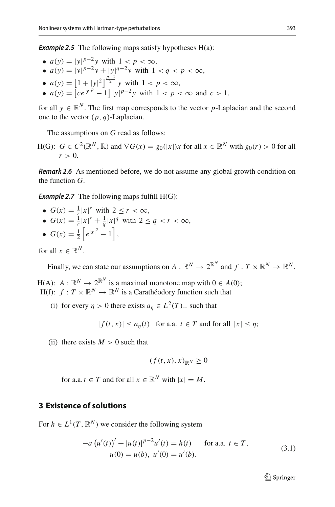**Example 2.5** The following maps satisfy hypotheses H(a):

- $a(y) = |y|^{p-2}y$  with  $1 < p < \infty$ ,
- $a(y) = |y|^{p-2}y + |y|^{q-2}y$  with  $1 < q < p < \infty$ ,
- $a(y) = \left[1 + |y|^2\right]^{\frac{p-2}{2}} y$  with  $1 < p < \infty$ ,
- $a(y) = [ce^{|y|^p} 1] |y|^{p-2}y$  with  $1 < p < \infty$  and  $c > 1$ ,

for all  $y \in \mathbb{R}^N$ . The first map corresponds to the vector *p*-Laplacian and the second one to the vector  $(p, q)$ -Laplacian.

The assumptions on *G* read as follows:

H(G):  $G \in C^2(\mathbb{R}^N, \mathbb{R})$  and  $\nabla G(x) = g_0(|x|)x$  for all  $x \in \mathbb{R}^N$  with  $g_0(r) > 0$  for all  $r > 0$ .

*Remark 2.6* As mentioned before, we do not assume any global growth condition on the function *G*.

**Example 2.7** The following maps fulfill H(G):

- $G(x) = \frac{1}{r} |x|^r$  with  $2 \le r < \infty$ ,
- $G(x) = \frac{1}{r}|x|^r + \frac{1}{q}|x|^q$  with  $2 \le q < r < \infty$ ,
- $G(x) = \frac{1}{2} \left[ e^{|x|^2} 1 \right],$

for all  $x \in \mathbb{R}^N$ .

Finally, we can state our assumptions on  $A: \mathbb{R}^N \to 2^{\mathbb{R}^N}$  and  $f: T \times \mathbb{R}^N \to \mathbb{R}^N$ .

H(A):  $A: \mathbb{R}^N \to 2^{\mathbb{R}^N}$  is a maximal monotone map with  $0 \in A(0)$ ;  $H(f): f: T \times \mathbb{R}^N \to \mathbb{R}^N$  is a Carathéodory function such that

(i) for every  $\eta > 0$  there exists  $a_n \in L^2(T)$  such that

 $| f(t, x) | \leq a_n(t)$  for a.a.  $t \in T$  and for all  $|x| \leq \eta$ ;

(ii) there exists  $M > 0$  such that

$$
(f(t,x),x)_{\mathbb{R}^N}\geq 0
$$

for a.a.  $t \in T$  and for all  $x \in \mathbb{R}^N$  with  $|x| = M$ .

# **3 Existence of solutions**

<span id="page-4-1"></span>For  $h \in L^1(T, \mathbb{R}^N)$  we consider the following system

<span id="page-4-0"></span>
$$
-a (u'(t))' + |u(t)|^{p-2}u'(t) = h(t) \quad \text{for a.a. } t \in T,
$$
  
 
$$
u(0) = u(b), u'(0) = u'(b).
$$
 (3.1)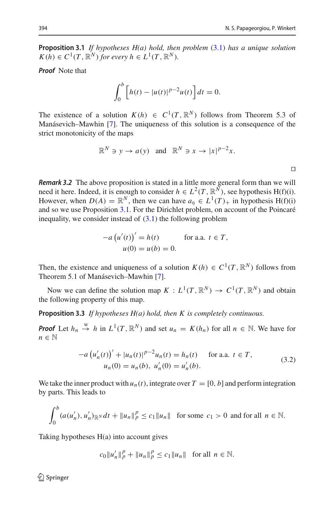**Proposition 3.1** *If hypotheses H(a) hold, then problem* [\(3.1\)](#page-4-0) *has a unique solution*  $K(h) \in C^1(T, \mathbb{R}^N)$  *for every*  $h \in L^1(T, \mathbb{R}^N)$ *.* 

*Proof* Note that

$$
\int_0^b \left[ h(t) - |u(t)|^{p-2} u(t) \right] dt = 0.
$$

The existence of a solution  $K(h) \in C^1(T, \mathbb{R}^N)$  follows from Theorem 5.3 of Manásevich–Mawhin [\[7\]](#page-15-5). The uniqueness of this solution is a consequence of the strict monotonicity of the maps

$$
\mathbb{R}^N \ni y \to a(y) \quad \text{and} \quad \mathbb{R}^N \ni x \to |x|^{p-2}x.
$$

*Remark 3.2* The above proposition is stated in a little more general form than we will need it here. Indeed, it is enough to consider *h* ∈  $L^2(T, \mathbb{R}^N)$ , see hypothesis H(f)(i). However, when  $D(A) = \mathbb{R}^N$ , then we can have  $a_n \in L^1(T)_+$  in hypothesis H(f)(i) and so we use Proposition [3.1.](#page-4-1) For the Dirichlet problem, on account of the Poincaré inequality, we consider instead of  $(3.1)$  the following problem

$$
-a (u'(t))' = h(t) \qquad \text{for a.a. } t \in T,
$$
  

$$
u(0) = u(b) = 0.
$$

Then, the existence and uniqueness of a solution  $K(h) \in C^1(T, \mathbb{R}^N)$  follows from Theorem 5.1 of Manásevich–Mawhin [\[7\]](#page-15-5).

<span id="page-5-1"></span>Now we can define the solution map  $K : L^1(T, \mathbb{R}^N) \to C^1(T, \mathbb{R}^N)$  and obtain the following property of this map.

**Proposition 3.3** *If hypotheses H(a) hold, then K is completely continuous.*

*Proof* Let  $h_n \stackrel{w}{\to} h$  in  $L^1(T, \mathbb{R}^N)$  and set  $u_n = K(h_n)$  for all  $n \in \mathbb{N}$ . We have for *n* ∈ <sup>N</sup>

<span id="page-5-0"></span>
$$
-a\left(u'_{n}(t)\right)' + |u_{n}(t)|^{p-2}u_{n}(t) = h_{n}(t) \quad \text{for a.a. } t \in T,
$$
  

$$
u_{n}(0) = u_{n}(b), \ u'_{n}(0) = u'_{n}(b).
$$
 (3.2)

We take the inner product with  $u_n(t)$ , integrate over  $T = [0, b]$  and perform integration by parts. This leads to

$$
\int_0^b (a(u'_n), u'_n)_{\mathbb{R}^N} dt + \|u_n\|_p^p \le c_1 \|u_n\| \quad \text{for some } c_1 > 0 \text{ and for all } n \in \mathbb{N}.
$$

Taking hypotheses H(a) into account gives

$$
c_0 ||u'_n||_p^p + ||u_n||_p^p \le c_1 ||u_n||
$$
 for all  $n \in \mathbb{N}$ .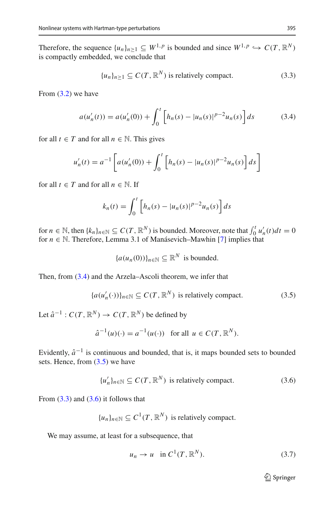Therefore, the sequence  $\{u_n\}_{n>1} \subseteq W^{1,p}$  is bounded and since  $W^{1,p} \hookrightarrow C(T, \mathbb{R}^N)$ is compactly embedded, we conclude that

<span id="page-6-2"></span><span id="page-6-0"></span>
$$
\{u_n\}_{n\geq 1} \subseteq C(T, \mathbb{R}^N) \text{ is relatively compact.}
$$
 (3.3)

From  $(3.2)$  we have

$$
a(u'_n(t)) = a(u'_n(0)) + \int_0^t \left[ h_n(s) - |u_n(s)|^{p-2} u_n(s) \right] ds \tag{3.4}
$$

for all  $t \in T$  and for all  $n \in \mathbb{N}$ . This gives

$$
u'_{n}(t) = a^{-1} \left[ a(u'_{n}(0)) + \int_{0}^{t} \left[ h_{n}(s) - |u_{n}(s)|^{p-2} u_{n}(s) \right] ds \right]
$$

for all  $t \in T$  and for all  $n \in \mathbb{N}$ . If

$$
k_n(t) = \int_0^t \left[ h_n(s) - |u_n(s)|^{p-2} u_n(s) \right] ds
$$

for  $n \in \mathbb{N}$ , then  $\{k_n\}_{n \in \mathbb{N}} \subseteq C(T, \mathbb{R}^N)$  is bounded. Moreover, note that  $\int_0^t u'_n(t)dt = 0$ for  $n \in \mathbb{N}$ . Therefore, Lemma 3.1 of Manásevich–Mawhin [\[7\]](#page-15-5) implies that

<span id="page-6-1"></span>
$$
{a(u_n(0))}_{n\in\mathbb{N}} \subseteq \mathbb{R}^N
$$
 is bounded.

Then, from [\(3.4\)](#page-6-0) and the Arzela–Ascoli theorem, we infer that

$$
\{a(u'_n(\cdot))\}_{n\in\mathbb{N}} \subseteq C(T, \mathbb{R}^N) \text{ is relatively compact.}
$$
 (3.5)

Let  $\hat{a}^{-1}$  :  $C(T, \mathbb{R}^N) \rightarrow C(T, \mathbb{R}^N)$  be defined by

$$
\hat{a}^{-1}(u)(\cdot) = a^{-1}(u(\cdot)) \quad \text{for all } u \in C(T, \mathbb{R}^N).
$$

Evidently,  $\hat{a}^{-1}$  is continuous and bounded, that is, it maps bounded sets to bounded sets. Hence, from  $(3.5)$  we have

$$
\{u'_n\}_{n \in \mathbb{N}} \subseteq C(T, \mathbb{R}^N) \text{ is relatively compact.}
$$
 (3.6)

From  $(3.3)$  and  $(3.6)$  it follows that

$$
{u_n}_{n \in \mathbb{N}} \subseteq C^1(T, \mathbb{R}^N)
$$
 is relatively compact.

We may assume, at least for a subsequence, that

<span id="page-6-4"></span><span id="page-6-3"></span>
$$
u_n \to u \quad \text{in } C^1(T, \mathbb{R}^N). \tag{3.7}
$$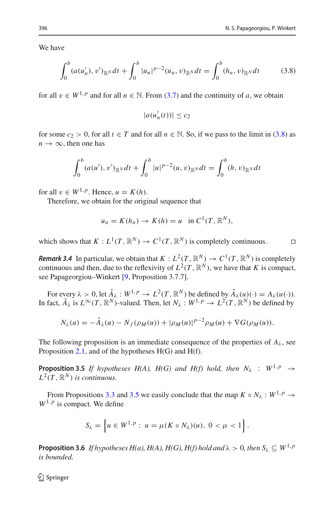We have

$$
\int_0^b (a(u'_n), v')_{\mathbb{R}^N} dt + \int_0^b |u_n|^{p-2} (u_n, v)_{\mathbb{R}^N} dt = \int_0^b (h_n, v)_{\mathbb{R}^N} dt \tag{3.8}
$$

for all  $v \in W^{1,p}$  and for all  $n \in \mathbb{N}$ . From [\(3.7\)](#page-6-4) and the continuity of *a*, we obtain

<span id="page-7-0"></span>
$$
|a(u'_n(t))| \le c_2
$$

for some  $c_2 > 0$ , for all  $t \in T$  and for all  $n \in \mathbb{N}$ . So, if we pass to the limit in [\(3.8\)](#page-7-0) as  $n \to \infty$ , then one has

$$
\int_0^b (a(u'), v')_{\mathbb{R}^N} dt + \int_0^b |u|^{p-2} (u, v)_{\mathbb{R}^N} dt = \int_0^b (h, v)_{\mathbb{R}^N} dt
$$

for all  $v \in W^{1,p}$ . Hence,  $u = K(h)$ .

Therefore, we obtain for the original sequence that

$$
u_n = K(h_n) \to K(h) = u \text{ in } C^1(T, \mathbb{R}^N),
$$

which shows that  $K : L^1(T, \mathbb{R}^N) \to C^1(T, \mathbb{R}^N)$  is completely continuous.

*Remark 3.4* In particular, we obtain that  $K : L^2(T, \mathbb{R}^N) \to C^1(T, \mathbb{R}^N)$  is completely continuous and then, due to the reflexivity of  $L^2(T, \mathbb{R}^N)$ , we have that *K* is compact, see Papageorgiou–Winkert [\[9](#page-15-4), Proposition 3.7.7].

For every  $\lambda > 0$ , let  $\hat{A}_{\lambda}: W^{1,p} \to L^2(T, \mathbb{R}^N)$  be defined by  $\hat{A}_{\lambda}(u)(\cdot) = A_{\lambda}(u(\cdot)).$ In fact,  $\hat{A}_{\lambda}$  is  $L^{\infty}(T, \mathbb{R}^{N})$ -valued. Then, let  $N_{\lambda}: W^{1,p} \to L^{2}(T, \mathbb{R}^{N})$  be defined by

$$
N_{\lambda}(u) = -\hat{A}_{\lambda}(u) - N_f(\rho_M(u)) + |\rho_M(u)|^{p-2} \rho_M(u) + \nabla G(\rho_M(u)).
$$

<span id="page-7-1"></span>The following proposition is an immediate consequence of the properties of  $A_{\lambda}$ , see Proposition [2.1,](#page-2-0) and of the hypotheses  $H(G)$  and  $H(f)$ .

**Proposition 3.5** *If hypotheses H(A), H(G) and H(f) hold, then*  $N_{\lambda}$  :  $W^{1,p} \rightarrow$  $L^2(T, \mathbb{R}^N)$  *is continuous.* 

From Propositions [3.3](#page-5-1) and [3.5](#page-7-1) we easily conclude that the map  $K \circ N_{\lambda}: W^{1,p} \to$  $W^{1,p}$  is compact. We define

$$
S_{\lambda} = \left\{ u \in W^{1,p} : u = \mu(K \circ N_{\lambda})(u), \ 0 < \mu < 1 \right\}.
$$

<span id="page-7-2"></span>**Proposition 3.6** *If hypotheses H(a), H(A), H(G), H(f) hold and*  $\lambda > 0$ *, then*  $S_{\lambda} \subseteq W^{1,p}$ *is bounded.*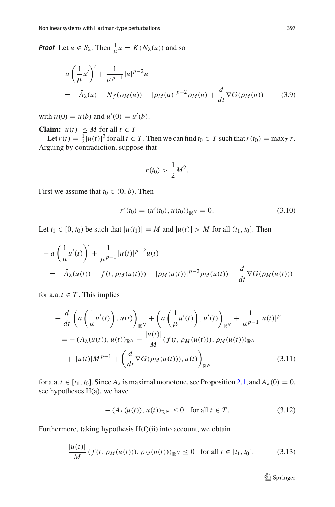*Proof* Let  $u \in S_{\lambda}$ . Then  $\frac{1}{\mu}u = K(N_{\lambda}(u))$  and so

$$
- a \left(\frac{1}{\mu} u'\right)' + \frac{1}{\mu^{p-1}} |u|^{p-2} u
$$
  
=  $-\hat{A}_{\lambda}(u) - N_f(\rho_M(u)) + |\rho_M(u)|^{p-2} \rho_M(u) + \frac{d}{dt} \nabla G(\rho_M(u))$  (3.9)

with  $u(0) = u(b)$  and  $u'(0) = u'(b)$ .

**Claim:**  $|u(t)| \leq M$  for all  $t \in T$ 

Let  $r(t) = \frac{1}{2} |u(t)|^2$  for all  $t \in T$ . Then we can find  $t_0 \in T$  such that  $r(t_0) = \max_T r$ . Arguing by contradiction, suppose that

<span id="page-8-4"></span><span id="page-8-3"></span>
$$
r(t_0) > \frac{1}{2}M^2.
$$

First we assume that  $t_0 \in (0, b)$ . Then

$$
r'(t_0) = (u'(t_0), u(t_0))_{\mathbb{R}^N} = 0.
$$
\n(3.10)

Let *t*<sub>1</sub> ∈ [0, *t*<sub>0</sub>) be such that  $|u(t_1)| = M$  and  $|u(t)| > M$  for all  $(t_1, t_0]$ . Then

$$
- a \left( \frac{1}{\mu} u'(t) \right)' + \frac{1}{\mu^{p-1}} |u(t)|^{p-2} u(t)
$$
  
=  $-\hat{A}_{\lambda}(u(t)) - f(t, \rho_M(u(t))) + |\rho_M(u(t))|^{p-2} \rho_M(u(t)) + \frac{d}{dt} \nabla G(\rho_M(u(t)))$ 

for a.a.  $t \in T$ . This implies

$$
-\frac{d}{dt}\left(a\left(\frac{1}{\mu}u'(t)\right), u(t)\right)_{\mathbb{R}^N} + \left(a\left(\frac{1}{\mu}u'(t)\right), u'(t)\right)_{\mathbb{R}^N} + \frac{1}{\mu^{p-1}}|u(t)|^p
$$
  
= -\left(A\_{\lambda}(u(t)), u(t)\right)\_{\mathbb{R}^N} - \frac{|u(t)|}{M}\left(f(t, \rho\_M(u(t))), \rho\_M(u(t))\right)\_{\mathbb{R}^N}  
+ |u(t)|M^{p-1} + \left(\frac{d}{dt}\nabla G(\rho\_M(u(t))), u(t)\right)\_{\mathbb{R}^N}(3.11)

for a.a.  $t \in [t_1, t_0]$ . Since  $A_\lambda$  is maximal monotone, see Proposition [2.1,](#page-2-0) and  $A_\lambda(0) = 0$ , see hypotheses H(a), we have

$$
-(A_{\lambda}(u(t)), u(t))_{\mathbb{R}^N} \le 0 \quad \text{for all } t \in T. \tag{3.12}
$$

Furthermore, taking hypothesis H(f)(ii) into account, we obtain

$$
-\frac{|u(t)|}{M} (f(t, \rho_M(u(t))), \rho_M(u(t)))_{\mathbb{R}^N} \le 0 \quad \text{for all } t \in [t_1, t_0]. \tag{3.13}
$$

<span id="page-8-2"></span><span id="page-8-1"></span><span id="page-8-0"></span><sup>2</sup> Springer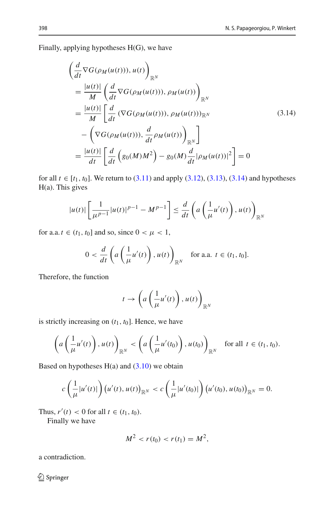Finally, applying hypotheses H(G), we have

<span id="page-9-0"></span>
$$
\begin{aligned}\n&\left(\frac{d}{dt}\nabla G(\rho_M(u(t))), u(t)\right)_{\mathbb{R}^N} \\
&= \frac{|u(t)|}{M} \left(\frac{d}{dt}\nabla G(\rho_M(u(t))), \rho_M(u(t))\right)_{\mathbb{R}^N} \\
&= \frac{|u(t)|}{M} \left[\frac{d}{dt}\left(\nabla G(\rho_M(u(t)), \rho_M(u(t))\right)_{\mathbb{R}^N}\right. \\
&\left.-\left(\nabla G(\rho_M(u(t))), \frac{d}{dt}\rho_M(u(t))\right)_{\mathbb{R}^N}\right] \\
&= \frac{|u(t)|}{dt} \left[\frac{d}{dt}\left(g_0(M)M^2\right) - g_0(M)\frac{d}{dt}|\rho_M(u(t))|^2\right] = 0\n\end{aligned} \tag{3.14}
$$

for all *t* ∈  $[t_1, t_0]$ . We return to  $(3.11)$  and apply  $(3.12)$ ,  $(3.13)$ ,  $(3.14)$  and hypotheses H(a). This gives

$$
|u(t)|\left[\frac{1}{\mu^{p-1}}|u(t)|^{p-1}-M^{p-1}\right] \leq \frac{d}{dt}\left(a\left(\frac{1}{\mu}u'(t)\right),u(t)\right)_{\mathbb{R}^N}
$$

for a.a.  $t \in (t_1, t_0]$  and so, since  $0 < \mu < 1$ ,

$$
0 < \frac{d}{dt} \left( a \left( \frac{1}{\mu} u'(t) \right), u(t) \right)_{\mathbb{R}^N} \quad \text{for a.a. } t \in (t_1, t_0].
$$

Therefore, the function

$$
t \to \left( a\left( \frac{1}{\mu} u'(t) \right), u(t) \right)_{\mathbb{R}^N}
$$

is strictly increasing on  $(t_1, t_0]$ . Hence, we have

$$
\left(a\left(\frac{1}{\mu}u'(t)\right),u(t)\right)_{\mathbb{R}^N} < \left(a\left(\frac{1}{\mu}u'(t_0)\right),u(t_0)\right)_{\mathbb{R}^N} \quad \text{for all } t \in (t_1, t_0).
$$

Based on hypotheses  $H(a)$  and  $(3.10)$  we obtain

$$
c\left(\frac{1}{\mu}|u'(t)|\right)\left(u'(t),u(t)\right)_{\mathbb{R}^N} < c\left(\frac{1}{\mu}|u'(t_0)|\right)\left(u'(t_0),u(t_0)\right)_{\mathbb{R}^N} = 0.
$$

Thus,  $r'(t) < 0$  for all  $t \in (t_1, t_0)$ .

Finally we have

$$
M^2 < r(t_0) < r(t_1) = M^2,
$$

a contradiction.

<sup>2</sup> Springer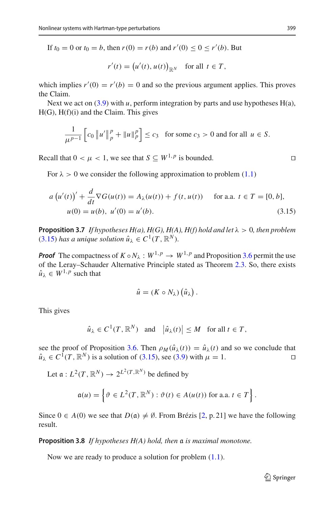If  $t_0 = 0$  or  $t_0 = b$ , then  $r(0) = r(b)$  and  $r'(0) \le 0 \le r'(b)$ . But

$$
r'(t) = (u'(t), u(t))_{\mathbb{R}^N} \text{ for all } t \in T,
$$

which implies  $r'(0) = r'(b) = 0$  and so the previous argument applies. This proves the Claim.

Next we act on  $(3.9)$  with *u*, perform integration by parts and use hypotheses H(a), H(G), H(f)(i) and the Claim. This gives

$$
\frac{1}{\mu^{p-1}} \left[ c_0 \left\| u' \right\|_p^p + \left\| u \right\|_p^p \right] \le c_3 \quad \text{for some } c_3 > 0 \text{ and for all } u \in S.
$$

Recall that  $0 < \mu < 1$ , we see that  $S \subset W^{1,p}$  is bounded.

For  $\lambda > 0$  we consider the following approximation to problem [\(1.1\)](#page-1-0)

$$
a(u'(t))' + \frac{d}{dt}\nabla G(u(t)) = A_{\lambda}(u(t)) + f(t, u(t)) \quad \text{for a.a. } t \in T = [0, b],
$$
  
 
$$
u(0) = u(b), u'(0) = u'(b).
$$
 (3.15)

<span id="page-10-1"></span>**Proposition 3.7** *If hypotheses H(a), H(G), H(A), H(f) hold and let*  $\lambda > 0$ *, then problem*  $(3.15)$  *has a unique solution*  $\hat{u}_{\lambda} \in C^1(T, \mathbb{R}^N)$ *.* 

*Proof* The compactness of  $K \circ N_\lambda : W^{1,p} \to W^{1,p}$  and Proposition [3.6](#page-7-2) permit the use of the Leray–Schauder Alternative Principle stated as Theorem [2.3.](#page-3-0) So, there exists  $\hat{u}_\lambda \in W^{1,p}$  such that

$$
\hat{u} = (K \circ N_{\lambda}) (\hat{u}_{\lambda}).
$$

This gives

$$
\hat{u}_{\lambda} \in C^1(T, \mathbb{R}^N)
$$
 and  $|\hat{u}_{\lambda}(t)| \leq M$  for all  $t \in T$ ,

see the proof of Proposition [3.6.](#page-7-2) Then  $\rho_M(\hat{u}_\lambda(t)) = \hat{u}_\lambda(t)$  and so we conclude that  $\hat{u}_\lambda \in C^1(T, \mathbb{R}^N)$  is a solution of (3.15), see (3.9) with  $u = 1$ .  $\hat{u}_{\lambda} \in C^1(T, \mathbb{R}^N)$  is a solution of [\(3.15\)](#page-10-0), see [\(3.9\)](#page-8-4) with  $\mu = 1$ .

Let  $\mathfrak{a}: L^2(T, \mathbb{R}^N) \to 2^{L^2(T, \mathbb{R}^N)}$  be defined by

$$
\mathfrak{a}(u) = \left\{ \vartheta \in L^2(T, \mathbb{R}^N) : \vartheta(t) \in A(u(t)) \text{ for a.a. } t \in T \right\}.
$$

Since  $0 \in A(0)$  we see that  $D(\mathfrak{a}) \neq \emptyset$ . From Brézis [\[2](#page-14-0), p. 21] we have the following result.

**Proposition 3.8** *If hypotheses H(A) hold, then* a *is maximal monotone.*

Now we are ready to produce a solution for problem [\(1.1\)](#page-1-0).

<span id="page-10-0"></span>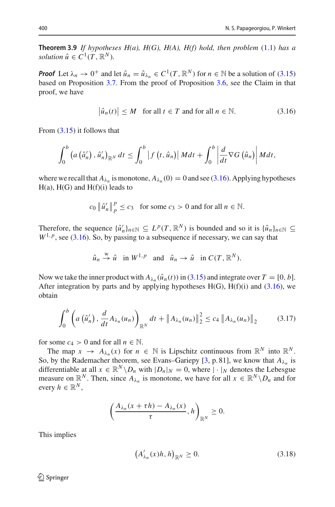**Theorem 3.9** *If hypotheses H(a), H(G), H(A), H(f) hold, then problem* [\(1.1\)](#page-1-0) *has a solution*  $\hat{u} \in C^1(T, \mathbb{R}^N)$ *.* 

*Proof* Let  $\lambda_n \to 0^+$  and let  $\hat{u}_n = \hat{u}_{\lambda_n} \in C^1(T, \mathbb{R}^N)$  for  $n \in \mathbb{N}$  be a solution of [\(3.15\)](#page-10-0) based on Proposition [3.7.](#page-10-1) From the proof of Proposition [3.6,](#page-7-2) see the Claim in that proof, we have

<span id="page-11-0"></span>
$$
\left|\hat{u}_n(t)\right| \le M \quad \text{for all } t \in T \text{ and for all } n \in \mathbb{N}.\tag{3.16}
$$

From [\(3.15\)](#page-10-0) it follows that

$$
\int_0^b \left( a\left(\hat{a}'_n\right), \hat{u}'_n \right)_{\mathbb{R}^N} dt \leq \int_0^b \left| f\left(t, \hat{u}_n\right) \right| M dt + \int_0^b \left| \frac{d}{dt} \nabla G\left(\hat{u}_n\right) \right| M dt,
$$

where we recall that  $A_{\lambda_n}$  is monotone,  $A_{\lambda_n}(0) = 0$  and see [\(3.16\)](#page-11-0). Applying hypotheses  $H(a)$ ,  $H(G)$  and  $H(f)(i)$  leads to

$$
c_0 \|\hat{u}'_n\|_p^p \le c_3
$$
 for some  $c_3 > 0$  and for all  $n \in \mathbb{N}$ .

Therefore, the sequence  $\{\hat{u}'_n\}_{n \in \mathbb{N}} \subseteq L^p(T, \mathbb{R}^N)$  is bounded and so it is  $\{\hat{u}_n\}_{n \in \mathbb{N}} \subseteq L^p(T, \mathbb{R}^N)$  $W^{1,p}$ , see [\(3.16\)](#page-11-0). So, by passing to a subsequence if necessary, we can say that

<span id="page-11-2"></span>
$$
\hat{u}_n \stackrel{\text{w}}{\rightarrow} \hat{u} \text{ in } W^{1,p} \text{ and } \hat{u}_n \rightarrow \hat{u} \text{ in } C(T, \mathbb{R}^N).
$$

Now we take the inner product with  $A_{\lambda_n}(\hat{u}_n(t))$  in [\(3.15\)](#page-10-0) and integrate over  $T = [0, b]$ . After integration by parts and by applying hypotheses  $H(G)$ ,  $H(f)(i)$  and [\(3.16\)](#page-11-0), we obtain

$$
\int_0^b \left( a\left(\hat{u}'_n\right), \frac{d}{dt} A_{\lambda_n}(u_n) \right)_{\mathbb{R}^N} dt + \left\| A_{\lambda_n}(u_n) \right\|_2^2 \le c_4 \left\| A_{\lambda_n}(u_n) \right\|_2 \tag{3.17}
$$

for some  $c_4 > 0$  and for all  $n \in \mathbb{N}$ .

The map  $x \to A_{\lambda_n}(x)$  for  $n \in \mathbb{N}$  is Lipschitz continuous from  $\mathbb{R}^N$  into  $\mathbb{R}^N$ . So, by the Rademacher theorem, see Evans–Gariepy [\[3](#page-15-6), p. 81], we know that  $A_{\lambda_n}$  is differentiable at all  $x \in \mathbb{R}^N \setminus D_n$  with  $|D_n|_N = 0$ , where  $|\cdot|_N$  denotes the Lebesgue measure on  $\mathbb{R}^N$ . Then, since  $A_{\lambda_n}$  is monotone, we have for all  $x \in \mathbb{R}^N \setminus D_n$  and for every  $h \in \mathbb{R}^N$ ,

$$
\left(\frac{A_{\lambda_n}(x+\tau h)-A_{\lambda_n}(x)}{\tau},h\right)_{\mathbb{R}^N}\geq 0.
$$

This implies

<span id="page-11-1"></span>
$$
\left(A'_{\lambda_n}(x)h, h\right)_{\mathbb{R}^N} \ge 0. \tag{3.18}
$$

 $\textcircled{2}$  Springer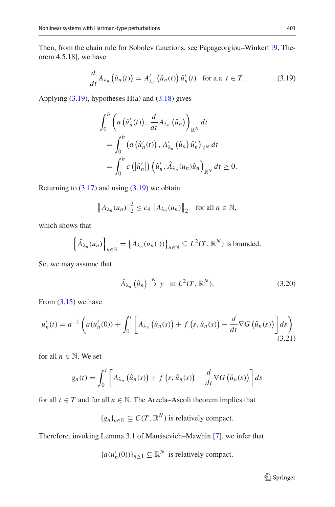Then, from the chain rule for Sobolev functions, see Papageorgiou–Winkert [\[9](#page-15-4), Theorem 4.5.18], we have

$$
\frac{d}{dt}A_{\lambda_n}\left(\hat{u}_n(t)\right) = A'_{\lambda_n}\left(\hat{u}_n(t)\right)\hat{u}'_n(t) \quad \text{for a.a. } t \in T. \tag{3.19}
$$

Applying  $(3.19)$ , hypotheses H(a) and  $(3.18)$  gives

<span id="page-12-0"></span>
$$
\int_0^b \left( a\left(\hat{u}'_n(t)\right), \frac{d}{dt} A_{\lambda_n}\left(\hat{u}_n\right) \right)_{\mathbb{R}^N} dt
$$
\n
$$
= \int_0^b \left( a\left(\hat{u}'_n(t)\right), A'_{\lambda_n}\left(\hat{u}_n\right) \hat{u}'_n \right)_{\mathbb{R}^N} dt
$$
\n
$$
= \int_0^b c\left( \left|\hat{u}'_n \right| \right) \left(\hat{u}'_n, \hat{A}_{\lambda_n}(u_n) \hat{u}_n \right)_{\mathbb{R}^N} dt \ge 0.
$$

Returning to  $(3.17)$  and using  $(3.19)$  we obtain

$$
\|A_{\lambda_n}(u_n)\|_2^2 \le c_4 \|A_{\lambda_n}(u_n)\|_2 \quad \text{for all } n \in \mathbb{N},
$$

which shows that

$$
\left\{\hat{A}_{\lambda_n}(u_n)\right\}_{n\in\mathbb{N}} = \left\{A_{\lambda_n}(u_n(\cdot))\right\}_{n\in\mathbb{N}} \subseteq L^2(T,\mathbb{R}^N)
$$
 is bounded.

So, we may assume that

<span id="page-12-2"></span><span id="page-12-1"></span>
$$
\hat{A}_{\lambda_n}\left(\hat{u}_n\right) \stackrel{\text{w}}{\rightarrow} \text{y} \quad \text{in } L^2(T, \mathbb{R}^N). \tag{3.20}
$$

From  $(3.15)$  we have

$$
u'_n(t) = a^{-1} \left( a(u'_n(0)) + \int_0^t \left[ A_{\lambda_n} \left( \hat{u}_n(s) \right) + f \left( s, \hat{u}_n(s) \right) - \frac{d}{dt} \nabla G \left( \hat{u}_n(s) \right) \right] ds \right)
$$
\n(3.21)

for all  $n \in \mathbb{N}$ . We set

$$
g_n(t) = \int_0^t \left[ A_{\lambda_n} \left( \hat{u}_n(s) \right) + f \left( s, \hat{u}_n(s) \right) - \frac{d}{dt} \nabla G \left( \hat{u}_n(s) \right) \right] ds
$$

for all  $t \in T$  and for all  $n \in \mathbb{N}$ . The Arzela–Ascoli theorem implies that

 ${g_n}_{n \in \mathbb{N}} \subseteq C(T, \mathbb{R}^N)$  is relatively compact.

Therefore, invoking Lemma 3.1 of Manásevich–Mawhin [\[7\]](#page-15-5), we infer that

 ${a(u'_n(0))}_{n \geq 1} \subseteq \mathbb{R}^N$  is relatively compact.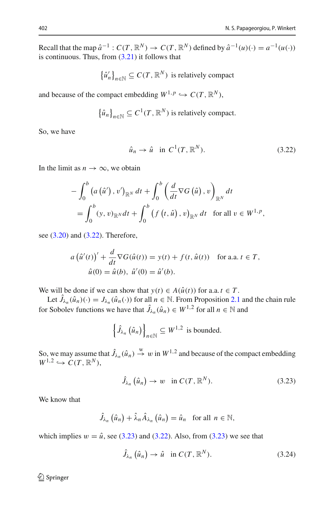Recall that the map  $\hat{a}^{-1}$  :  $C(T, \mathbb{R}^N) \to C(T, \mathbb{R}^N)$  defined by  $\hat{a}^{-1}(u)(\cdot) = a^{-1}(u(\cdot))$ is continuous. Thus, from  $(3.21)$  it follows that

$$
\{\hat{u}'_n\}_{n \in \mathbb{N}} \subseteq C(T, \mathbb{R}^N)
$$
 is relatively compact

and because of the compact embedding  $W^{1,p} \hookrightarrow C(T, \mathbb{R}^N)$ ,

$$
\{\hat{u}_n\}_{n\in\mathbb{N}}\subseteq C^1(T,\mathbb{R}^N)
$$
 is relatively compact.

So, we have

<span id="page-13-0"></span>
$$
\hat{u}_n \to \hat{u} \quad \text{in } C^1(T, \mathbb{R}^N). \tag{3.22}
$$

In the limit as  $n \to \infty$ , we obtain

$$
-\int_0^b \left(a\left(\hat{u}'\right), v'\right)_{\mathbb{R}^N} dt + \int_0^b \left(\frac{d}{dt}\nabla G\left(\hat{u}\right), v\right)_{\mathbb{R}^N} dt
$$
  
= 
$$
\int_0^b \left(y, v\right)_{\mathbb{R}^N} dt + \int_0^b \left(f\left(t, \hat{u}\right), v\right)_{\mathbb{R}^N} dt \quad \text{for all } v \in W^{1, p},
$$

see [\(3.20\)](#page-12-2) and [\(3.22\)](#page-13-0). Therefore,

$$
a\left(\hat{u}'(t)\right)' + \frac{d}{dt}\nabla G(\hat{u}(t)) = y(t) + f(t, \hat{u}(t)) \quad \text{for a.a. } t \in T,
$$
  

$$
\hat{u}(0) = \hat{u}(b), \ \hat{u}'(0) = \hat{u}'(b).
$$

We will be done if we can show that  $y(t) \in A(\hat{u}(t))$  for a.a.  $t \in T$ .

Let  $\hat{J}_{\lambda_n}(\hat{u}_n)(\cdot) = J_{\lambda_n}(\hat{u}_n(\cdot))$  for all  $n \in \mathbb{N}$ . From Proposition [2.1](#page-2-0) and the chain rule for Sobolev functions we have that  $\hat{J}_{\lambda_n}(\hat{u}_n) \in W^{1,2}$  for all  $n \in \mathbb{N}$  and

$$
\left\{\hat{J}_{\lambda_n}\left(\hat{u}_n\right)\right\}_{n\in\mathbb{N}}\subseteq W^{1,2}
$$
 is bounded.

So, we may assume that  $\hat{J}_{\lambda_n}(\hat{u}_n) \stackrel{w}{\rightarrow} w$  in  $W^{1,2}$  and because of the compact embedding  $W^{1,2} \hookrightarrow C(T,\mathbb{R}^N),$ 

<span id="page-13-1"></span>
$$
\hat{J}_{\lambda_n}\left(\hat{u}_n\right) \to w \quad \text{in } C(T, \mathbb{R}^N). \tag{3.23}
$$

We know that

$$
\hat{J}_{\lambda_n}(\hat{u}_n) + \hat{\lambda}_n \hat{A}_{\lambda_n}(\hat{u}_n) = \hat{u}_n \text{ for all } n \in \mathbb{N},
$$

which implies  $w = \hat{u}$ , see [\(3.23\)](#page-13-1) and [\(3.22\)](#page-13-0). Also, from (3.23) we see that

<span id="page-13-2"></span>
$$
\hat{J}_{\lambda_n}\left(\hat{u}_n\right) \to \hat{u} \quad \text{in } C(T, \mathbb{R}^N). \tag{3.24}
$$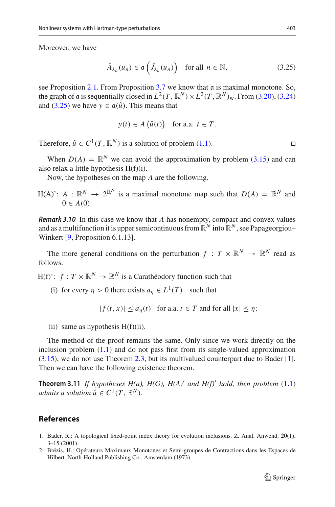Moreover, we have

<span id="page-14-1"></span>
$$
\hat{A}_{\lambda_n}(u_n) \in \mathfrak{a}\left(\hat{J}_{\lambda_n}(u_n)\right) \quad \text{for all } n \in \mathbb{N},\tag{3.25}
$$

see Proposition  $2.1$ . From Proposition  $3.7$  we know that  $\alpha$  is maximal monotone. So, the graph of a is sequentially closed in  $L^2(T, \mathbb{R}^N) \times L^2(T, \mathbb{R}^N)$ w. From [\(3.20\)](#page-12-2), [\(3.24\)](#page-13-2) and [\(3.25\)](#page-14-1) we have  $y \in \mathfrak{a}(\hat{u})$ . This means that

$$
y(t) \in A\left(\hat{u}(t)\right) \quad \text{for a.a. } t \in T.
$$

Therefore,  $\hat{u} \in C^1(T, \mathbb{R}^N)$  is a solution of problem [\(1.1\)](#page-1-0).

When  $D(A) = \mathbb{R}^N$  we can avoid the approximation by problem [\(3.15\)](#page-10-0) and can also relax a little hypothesis H(f)(i).

Now, the hypotheses on the map *A* are the following.

H(A)':  $A: \mathbb{R}^N \to 2^{\mathbb{R}^N}$  is a maximal monotone map such that  $D(A) = \mathbb{R}^N$  and  $0 \in A(0)$ .

*Remark 3.10* In this case we know that *A* has nonempty, compact and convex values and as a multifunction it is upper semicontinuous from  $\mathbb{R}^N$  into  $\mathbb{R}^N$ , see Papageorgiou– Winkert [\[9,](#page-15-4) Proposition 6.1.13].

The more general conditions on the perturbation  $f: T \times \mathbb{R}^N \to \mathbb{R}^N$  read as follows.

H(f)':  $f: T \times \mathbb{R}^N \to \mathbb{R}^N$  is a Carathéodory function such that

(i) for every  $\eta > 0$  there exists  $a_n \in L^1(T)_+$  such that

 $|f(t, x)| \le a_n(t)$  for a.a.  $t \in T$  and for all  $|x| \le n$ ;

(ii) same as hypothesis  $H(f)(ii)$ .

The method of the proof remains the same. Only since we work directly on the inclusion problem  $(1.1)$  and do not pass first from its single-valued approximation [\(3.15\)](#page-10-0), we do not use Theorem [2.3,](#page-3-0) but its multivalued counterpart due to Bader [\[1](#page-14-2)]. Then we can have the following existence theorem.

**Theorem 3.11** If hypotheses  $H(a)$ ,  $H(G)$ ,  $H(A)'$  and  $H(f)'$  hold, then problem  $(1.1)$ *admits a solution*  $\hat{u} \in C^1(T, \mathbb{R}^N)$ *.* 

### **References**

- <span id="page-14-2"></span>1. Bader, R.: A topological fixed-point index theory for evolution inclusions. Z. Anal. Anwend. **20**(1), 3–15 (2001)
- <span id="page-14-0"></span>2. Brézis, H.: Opérateurs Maximaux Monotones et Semi-groupes de Contractions dans les Espaces de Hilbert. North-Holland Publishing Co., Amsterdam (1973)